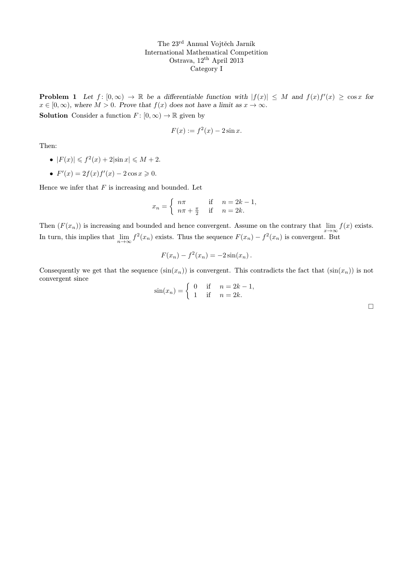**Problem 1** Let  $f: [0, \infty) \to \mathbb{R}$  be a differentiable function with  $|f(x)| \leq M$  and  $f(x)f'(x) \geq \cos x$  for  $x \in [0, \infty)$ , where  $M > 0$ . Prove that  $f(x)$  does not have a limit as  $x \to \infty$ . **Solution** Consider a function  $F : [0, \infty) \to \mathbb{R}$  given by

$$
F(x) := f^2(x) - 2\sin x.
$$

Then:

- $|F(x)| \leqslant f^2(x) + 2|\sin x| \leqslant M + 2.$
- $F'(x) = 2f(x)f'(x) 2\cos x \ge 0.$

Hence we infer that  $F$  is increasing and bounded. Let

$$
x_n = \begin{cases} n\pi & \text{if } n = 2k - 1, \\ n\pi + \frac{\pi}{2} & \text{if } n = 2k. \end{cases}
$$

Then  $(F(x_n))$  is increasing and bounded and hence convergent. Assume on the contrary that  $\lim_{x\to\infty} f(x)$  exists. In turn, this implies that  $\lim_{n\to\infty} f^2(x_n)$  exists. Thus the sequence  $F(x_n) - f^2(x_n)$  is convergent. But

$$
F(x_n) - f^2(x_n) = -2\sin(x_n).
$$

Consequently we get that the sequence  $(\sin(x_n))$  is convergent. This contradicts the fact that  $(\sin(x_n))$  is not convergent since

$$
\sin(x_n) = \begin{cases} 0 & \text{if } n = 2k - 1, \\ 1 & \text{if } n = 2k. \end{cases}
$$

 $\Box$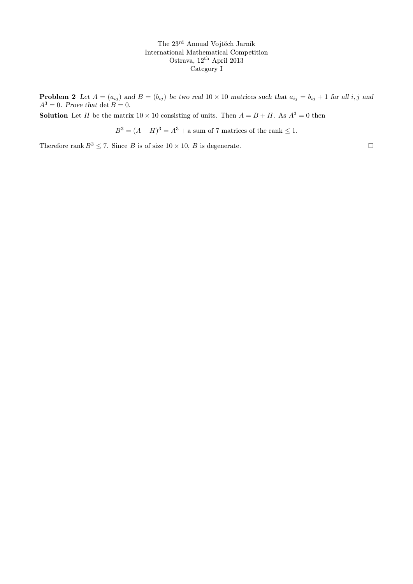**Problem 2** Let  $A = (a_{ij})$  and  $B = (b_{ij})$  be two real  $10 \times 10$  matrices such that  $a_{ij} = b_{ij} + 1$  for all i, j and  $A^3 = 0$ . Prove that  $\det B = 0$ .

**Solution** Let H be the matrix  $10 \times 10$  consisting of units. Then  $A = B + H$ . As  $A^3 = 0$  then

 $B<sup>3</sup> = (A - H)<sup>3</sup> = A<sup>3</sup> + a sum of 7 matrices of the rank  $\leq 1$ .$ 

Therefore rank  $B^3 \le 7$ . Since B is of size  $10 \times 10$ , B is degenerate.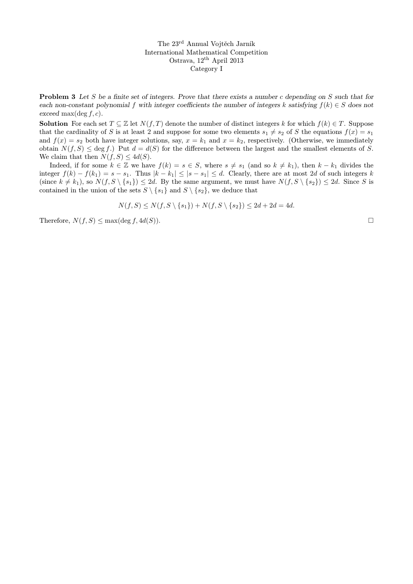Problem 3 Let S be a finite set of integers. Prove that there exists a number c depending on S such that for each non-constant polynomial f with integer coefficients the number of integers k satisfying  $f(k) \in S$  does not exceed max $(\deg f, c)$ .

**Solution** For each set  $T \subseteq \mathbb{Z}$  let  $N(f,T)$  denote the number of distinct integers k for which  $f(k) \in T$ . Suppose that the cardinality of S is at least 2 and suppose for some two elements  $s_1 \neq s_2$  of S the equations  $f(x) = s_1$ and  $f(x) = s_2$  both have integer solutions, say,  $x = k_1$  and  $x = k_2$ , respectively. (Otherwise, we immediately obtain  $N(f, S) \leq \deg f$ . Put  $d = d(S)$  for the difference between the largest and the smallest elements of S. We claim that then  $N(f, S) \leq 4d(S)$ .

Indeed, if for some  $k \in \mathbb{Z}$  we have  $f(k) = s \in S$ , where  $s \neq s_1$  (and so  $k \neq k_1$ ), then  $k - k_1$  divides the integer  $f(k) - f(k_1) = s - s_1$ . Thus  $|k - k_1| \leq |s - s_1| \leq d$ . Clearly, there are at most 2d of such integers k (since  $k \neq k_1$ ), so  $N(f, S \setminus \{s_1\}) \leq 2d$ . By the same argument, we must have  $N(f, S \setminus \{s_2\}) \leq 2d$ . Since S is contained in the union of the sets  $S \setminus \{s_1\}$  and  $S \setminus \{s_2\}$ , we deduce that

$$
N(f, S) \le N(f, S \setminus \{s_1\}) + N(f, S \setminus \{s_2\}) \le 2d + 2d = 4d.
$$

Therefore,  $N(f, S) \le \max(\deg f, 4d(S)).$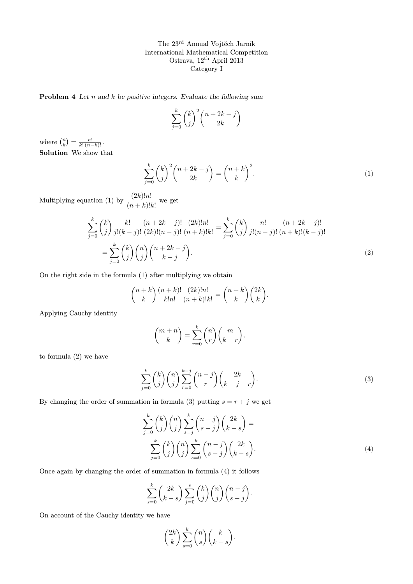**Problem 4** Let  $n$  and  $k$  be positive integers. Evaluate the following sum

$$
\sum_{j=0}^{k} \binom{k}{j}^2 \binom{n+2k-j}{2k}
$$

where  $\binom{n}{k} = \frac{n!}{k! (n-k)!}$ . Solution We show that

$$
\sum_{j=0}^{k} \binom{k}{j}^{2} \binom{n+2k-j}{2k} = \binom{n+k}{k}^{2}.
$$
\n(1)

Multiplying equation (1) by  $\frac{(2k)!n!}{(n+k)!k!}$  we get

$$
\sum_{j=0}^{k} {k \choose j} \frac{k!}{j!(k-j)!} \frac{(n+2k-j)!}{(2k)!(n-j)!} \frac{(2k)!n!}{(n+k)!k!} = \sum_{j=0}^{k} {k \choose j} \frac{n!}{j!(n-j)!} \frac{(n+2k-j)!}{(n+k)!(k-j)!}
$$

$$
= \sum_{j=0}^{k} {k \choose j} {n \choose j} {n+2k-j \choose k-j}.
$$
(2)

On the right side in the formula (1) after multiplying we obtain

$$
\binom{n+k}{k} \frac{(n+k)!}{k!n!} \frac{(2k)!n!}{(n+k)!k!} = \binom{n+k}{k} \binom{2k}{k}.
$$

Applying Cauchy identity

$$
\binom{m+n}{k} = \sum_{r=0}^{k} \binom{n}{r} \binom{m}{k-r},
$$

to formula (2) we have

$$
\sum_{j=0}^{k} \binom{k}{j} \binom{n}{j} \sum_{r=0}^{k-j} \binom{n-j}{r} \binom{2k}{k-j-r}.
$$
\n(3)

By changing the order of summation in formula (3) putting  $s = r + j$  we get

$$
\sum_{j=0}^{k} \binom{k}{j} \binom{n}{j} \sum_{s=j}^{k} \binom{n-j}{s-j} \binom{2k}{k-s} =
$$
\n
$$
\sum_{j=0}^{k} \binom{k}{j} \binom{n}{j} \sum_{s=0}^{k} \binom{n-j}{s-j} \binom{2k}{k-s}.
$$
\n(4)

Once again by changing the order of summation in formula (4) it follows

$$
\sum_{s=0}^{k} {2k \choose k-s} \sum_{j=0}^{s} {k \choose j} {n \choose j} {n-j \choose s-j}.
$$

On account of the Cauchy identity we have

$$
\binom{2k}{k} \sum_{s=0}^{k} \binom{n}{s} \binom{k}{k-s}.
$$